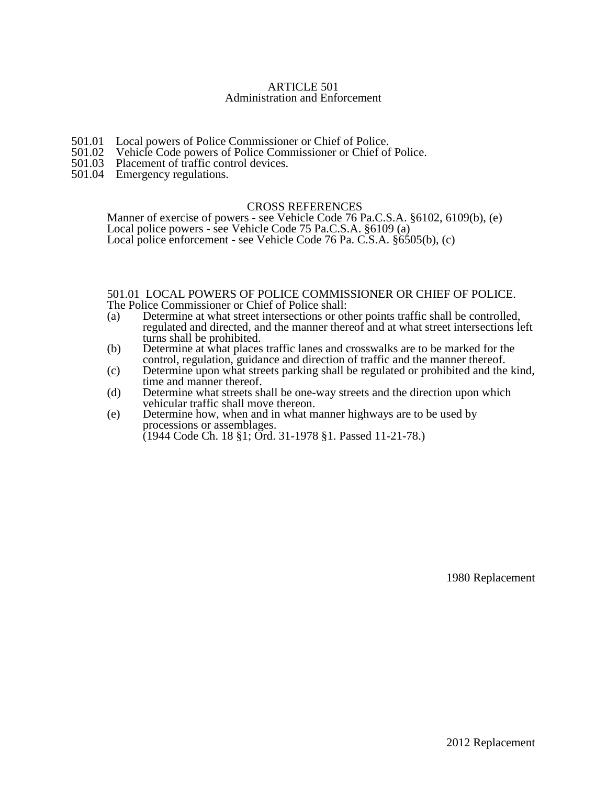## ARTICLE 501 Administration and Enforcement

- 501.01 Local powers of Police Commissioner or Chief of Police.<br>501.02 Vehicle Code powers of Police Commissioner or Chief of
- 501.02 Vehicle Code powers of Police Commissioner or Chief of Police.<br>501.03 Placement of traffic control devices.
- Placement of traffic control devices.
- 501.04 Emergency regulations.

## CROSS REFERENCES

Manner of exercise of powers - see Vehicle Code 76 Pa.C.S.A. §6102, 6109(b), (e) Local police powers - see Vehicle Code 75 Pa.C.S.A. §6109 (a) Local police enforcement - see Vehicle Code 76 Pa. C.S.A. §6505(b), (c)

## 501.01 LOCAL POWERS OF POLICE COMMISSIONER OR CHIEF OF POLICE. The Police Commissioner or Chief of Police shall:

- (a) Determine at what street intersections or other points traffic shall be controlled, regulated and directed, and the manner thereof and at what street intersections left turns shall be prohibited.
- (b) Determine at what places traffic lanes and crosswalks are to be marked for the control, regulation, guidance and direction of traffic and the manner thereof.
- (c) Determine upon what streets parking shall be regulated or prohibited and the kind, time and manner thereof.
- (d) Determine what streets shall be one-way streets and the direction upon which vehicular traffic shall move thereon.
- (e) Determine how, when and in what manner highways are to be used by processions or assemblages. (1944 Code Ch. 18 §1; Ord. 31-1978 §1. Passed 11-21-78.)

1980 Replacement